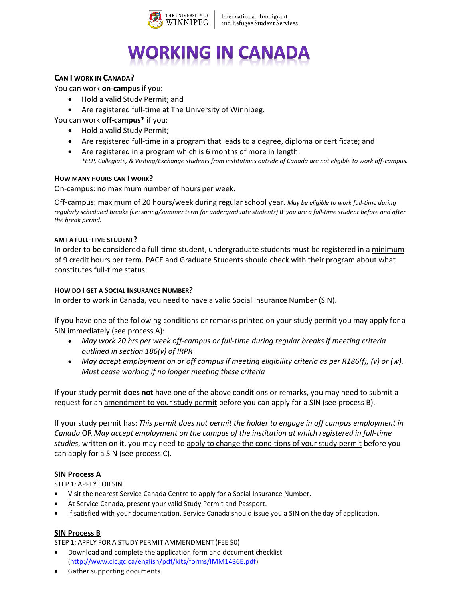

International, Immigrant and Refugee Student Services

# **WORKING IN CANADA**

## **CAN I WORK IN CANADA?**

You can work **on-campus** if you:

- Hold a valid Study Permit; and
- Are registered full-time at The University of Winnipeg.
- You can work **off-campus\*** if you:
	- Hold a valid Study Permit;
	- Are registered full-time in a program that leads to a degree, diploma or certificate; and
	- Are registered in a program which is 6 months of more in length. *\*ELP, Collegiate, & Visiting/Exchange students from institutions outside of Canada are not eligible to work off-campus.*

## **HOW MANY HOURS CAN I WORK?**

On-campus: no maximum number of hours per week.

Off-campus: maximum of 20 hours/week during regular school year. *May be eligible to work full-time during regularly scheduled breaks (i.e: spring/summer term for undergraduate students) IF you are a full-time student before and after the break period.*

## **AM I A FULL-TIME STUDENT?**

In order to be considered a full-time student, undergraduate students must be registered in a minimum of 9 credit hours per term. PACE and Graduate Students should check with their program about what constitutes full-time status.

## **HOW DO I GET A SOCIAL INSURANCE NUMBER?**

In order to work in Canada, you need to have a valid Social Insurance Number (SIN).

If you have one of the following conditions or remarks printed on your study permit you may apply for a SIN immediately (see process A):

- *May work 20 hrs per week off-campus or full-time during regular breaks if meeting criteria outlined in section 186(v) of IRPR*
- *May accept employment on or off campus if meeting eligibility criteria as per R186(f), (v) or (w). Must cease working if no longer meeting these criteria*

If your study permit **does not** have one of the above conditions or remarks, you may need to submit a request for an amendment to your study permit before you can apply for a SIN (see process B).

If your study permit has: *This permit does not permit the holder to engage in off campus employment in Canada* OR *May accept employment on the campus of the institution at which registered in full-time studies*, written on it, you may need to apply to change the conditions of your study permit before you can apply for a SIN (see process C).

## **SIN Process A**

STEP 1: APPLY FOR SIN

- Visit the nearest Service Canada Centre to apply for a Social Insurance Number.
- At Service Canada, present your valid Study Permit and Passport.
- If satisfied with your documentation, Service Canada should issue you a SIN on the day of application.

## **SIN Process B**

STEP 1: APPLY FOR A STUDY PERMIT AMMENDMENT (FEE \$0)

- Download and complete the application form and document checklist [\(http://www.cic.gc.ca/english/pdf/kits/forms/IMM1436E.pdf\)](http://www.cic.gc.ca/english/pdf/kits/forms/IMM1436E.pdf)
- Gather supporting documents.